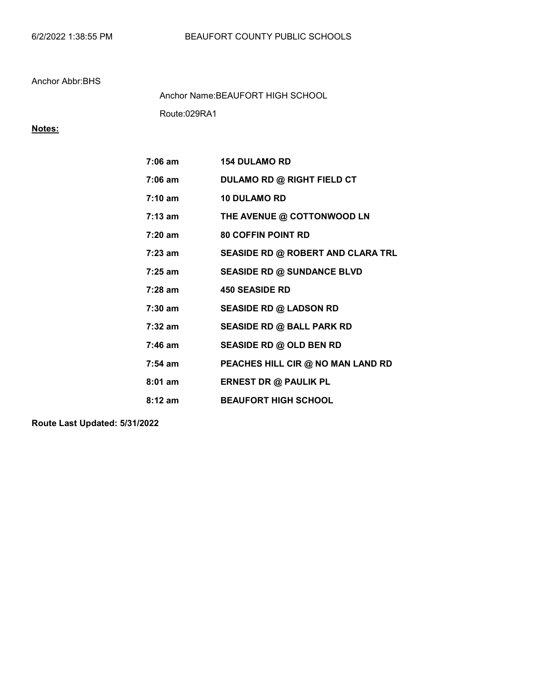Route:029RA1 Anchor Name:BEAUFORT HIGH SCHOOL

# Notes:

| $7:06$ am         | <b>154 DULAMO RD</b>              |
|-------------------|-----------------------------------|
| $7:06 \text{ am}$ | <b>DULAMO RD @ RIGHT FIELD CT</b> |
| $7:10 \text{ am}$ | <b>10 DULAMO RD</b>               |
| $7:13$ am         | THE AVENUE @ COTTONWOOD LN        |
| $7:20$ am         | <b>80 COFFIN POINT RD</b>         |
| $7:23$ am         | SEASIDE RD @ ROBERT AND CLARA TRL |
| 7:25 am           | <b>SEASIDE RD @ SUNDANCE BLVD</b> |
| $7:28$ am         | <b>450 SEASIDE RD</b>             |
| 7:30 am           | <b>SEASIDE RD @ LADSON RD</b>     |
| 7:32 am           | <b>SEASIDE RD @ BALL PARK RD</b>  |
| 7:46 am           | SEASIDE RD @ OLD BEN RD           |
| $7:54$ am         | PEACHES HILL CIR @ NO MAN LAND RD |
| $8:01$ am         | <b>ERNEST DR @ PAULIK PL</b>      |
| $8:12 \; am$      | <b>BEAUFORT HIGH SCHOOL</b>       |

Route Last Updated: 5/31/2022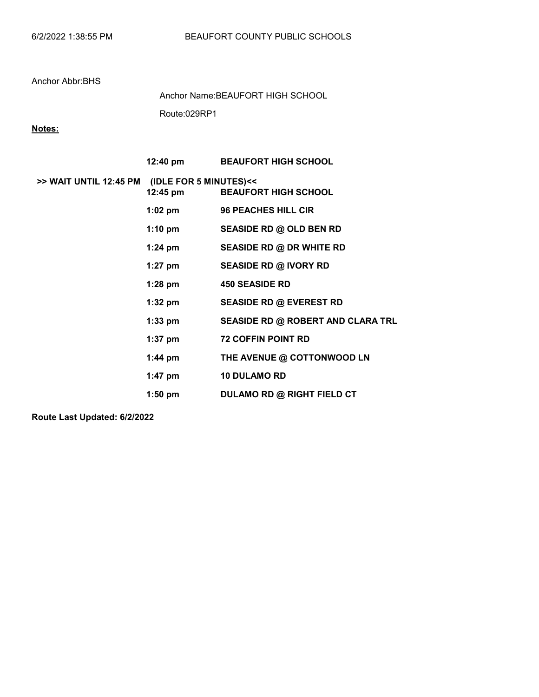Route:029RP1 Anchor Name:BEAUFORT HIGH SCHOOL

# Notes:

|                                               | 12:40 pm  | <b>BEAUFORT HIGH SCHOOL</b>       |
|-----------------------------------------------|-----------|-----------------------------------|
| >> WAIT UNTIL 12:45 PM (IDLE FOR 5 MINUTES)<< | 12:45 pm  | <b>BEAUFORT HIGH SCHOOL</b>       |
|                                               | 1:02 pm   | 96 PEACHES HILL CIR               |
|                                               | 1:10 pm   | SEASIDE RD @ OLD BEN RD           |
|                                               | $1:24$ pm | <b>SEASIDE RD @ DR WHITE RD</b>   |
|                                               | 1:27 pm   | <b>SEASIDE RD @ IVORY RD</b>      |
|                                               | 1:28 pm   | <b>450 SEASIDE RD</b>             |
|                                               | 1:32 pm   | <b>SEASIDE RD @ EVEREST RD</b>    |
|                                               | 1:33 pm   | SEASIDE RD @ ROBERT AND CLARA TRL |
|                                               | 1:37 pm   | <b>72 COFFIN POINT RD</b>         |
|                                               | 1:44 pm   | THE AVENUE @ COTTONWOOD LN        |
|                                               | 1:47 pm   | <b>10 DULAMO RD</b>               |
|                                               | $1:50$ pm | <b>DULAMO RD @ RIGHT FIELD CT</b> |

Route Last Updated: 6/2/2022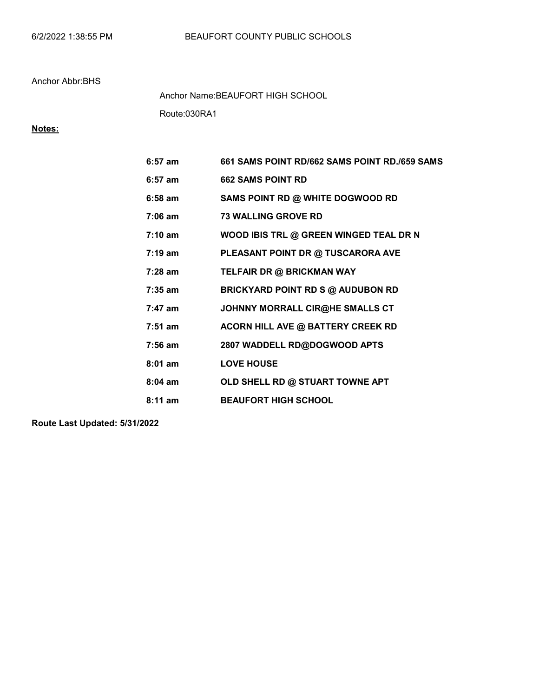Route:030RA1 Anchor Name:BEAUFORT HIGH SCHOOL

# Notes:

| $6:57$ am         | 661 SAMS POINT RD/662 SAMS POINT RD./659 SAMS |
|-------------------|-----------------------------------------------|
| $6:57$ am         | <b>662 SAMS POINT RD</b>                      |
| $6:58$ am         | SAMS POINT RD @ WHITE DOGWOOD RD              |
| $7:06$ am         | <b>73 WALLING GROVE RD</b>                    |
| $7:10 \text{ am}$ | WOOD IBIS TRL @ GREEN WINGED TEAL DR N        |
| $7:19 \text{ am}$ | PLEASANT POINT DR @ TUSCARORA AVE             |
| $7:28$ am         | TELFAIR DR @ BRICKMAN WAY                     |
| $7:35$ am         | <b>BRICKYARD POINT RD S @ AUDUBON RD</b>      |
| $7:47$ am         | JOHNNY MORRALL CIR@HE SMALLS CT               |
| $7:51$ am         | <b>ACORN HILL AVE @ BATTERY CREEK RD</b>      |
| $7:56$ am         | 2807 WADDELL RD@DOGWOOD APTS                  |
| $8:01$ am         | <b>LOVE HOUSE</b>                             |
| $8:04$ am         | OLD SHELL RD @ STUART TOWNE APT               |
| $8:11$ am         | <b>BEAUFORT HIGH SCHOOL</b>                   |

Route Last Updated: 5/31/2022